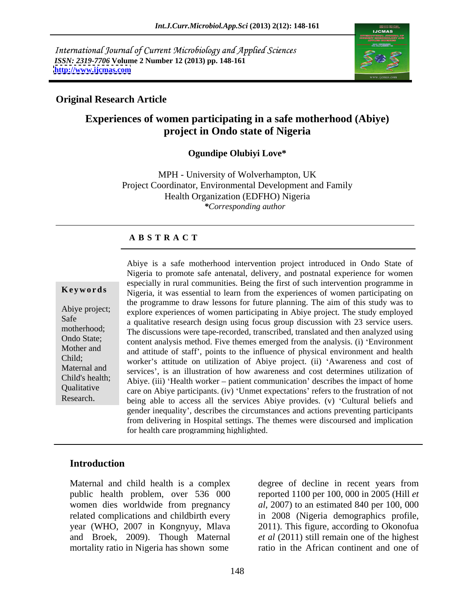International Journal of Current Microbiology and Applied Sciences *ISSN: 2319-7706* **Volume 2 Number 12 (2013) pp. 148-161 <http://www.ijcmas.com>**



### **Original Research Article**

## **Experiences of women participating in a safe motherhood (Abiye) project in Ondo state of Nigeria**

### **Ogundipe Olubiyi Love\***

MPH - University of Wolverhampton, UK Project Coordinator, Environmental Development and Family Health Organization (EDFHO) Nigeria *\*Corresponding author* 

### **A B S T R A C T**

**Keywords** Nigeria, it was essential to learn from the experiences of women participating on Abiye project; explore experiences of women participating in Abiye project. The study employed Safe a qualitative research design using focus group discussion with 23 service users. motherhood; The discussions were tape-recorded, transcribed, translated and then analyzed using Ondo State;<br>
content analysis method. Five themes emerged from the analysis. (i) 'Environment Mother and and attitude of staff', points to the influence of physical environment and health Child; worker's attitude on utilization of Abiye project. (ii) 'Awareness and cost of Maternal and services', is an illustration of how awareness and cost determines utilization of Child's health; Abiye. (iii) 'Health worker – patient communication' describes the impact of home Qualitative care on Abiye participants. (iv) 'Unmet expectations' refers to the frustration of not Abiye is a safe motherhood intervention project introduced in Ondo State of<br>Nigeria to promote safe antentaal, delivery, and postnatal experience for women<br>sepecially in rural communities. Being the first of such intervent Nigeria to promote safe antenatal, delivery, and postnatal experience for women especially in rural communities. Being the first of such intervention programme in the programme to draw lessons for future planning. The aim of this study was to being able to access all the services Abiye provides. (v) 'Cultural beliefs and gender inequality , describes the circumstances and actions preventing participants from delivering in Hospital settings. The themes were discoursed and implication for health care programming highlighted.

### **Introduction**

mortality ratio in Nigeria has shown some

Maternal and child health is a complex degree of decline in recent years from public health problem, over 536 000 reported 1100 per 100, 000 in 2005 (Hill *et*  women dies worldwide from pregnancy *al*, 2007) to an estimated 840 per 100, 000 related complications and childbirth every in 2008 (Nigeria demographics profile, year (WHO, 2007 in Kongnyuy, Mlava 2011). This figure, according to Okonofua and Broek, 2009). Though Maternal *et al* (2011) still remain one of the highest degree of decline in recent years from ratio in the African continent and one of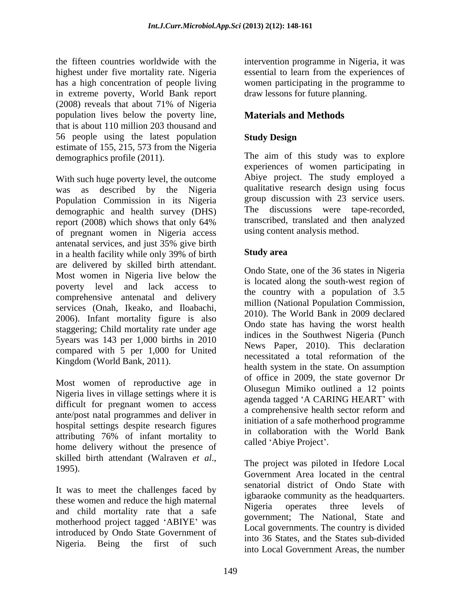the fifteen countries worldwide with the intervention programme in Nigeria, it was highest under five mortality rate. Nigeria essential to learn from the experiences of has a high concentration of people living women participating in the programme to in extreme poverty, World Bank report (2008) reveals that about 71% of Nigeria population lives below the poverty line, that is about 110 million 203 thousand and 56 people using the latest population Study Design estimate of 155, 215, 573 from the Nigeria

With such huge poverty level, the outcome was as described by the Nigeria Population Commission in its Nigeria demographic and health survey (DHS) report (2008) which shows that only 64% transcribed, translated and then analyzed of pregnant women in Nigeria access antenatal services, and just 35% give birth in a health facility while only 39% of birth **Study area** are delivered by skilled birth attendant. Most women in Nigeria live below the poverty level and lack access to comprehensive antenatal and delivery services (Onah, Ikeako, and Iloabachi, 2006). Infant mortality figure is also staggering; Child mortality rate under age 5years was 143 per 1,000 births in 2010 compared with 5 per 1,000 for United Kingdom (World Bank, 2011).

Most women of reproductive age in Nigeria lives in village settings where it is difficult for pregnant women to access ante/post natal programmes and deliver in hospital settings despite research figures  $\frac{1}{2}$  home delivery without the presence of called 'Abiye Project'.<br>
skilled birth attendant (Walraven *et al.*, skilled birth attendant (Walraven *et al.*,<br>1995).<br>Communes are located in the cantral

It was to meet the challenges faced by these women and reduce the high maternal<br>Nigeria operates three levels of and child mortality rate that a safe motherhood project tagged 'ABIYE' was introduced by Ondo State Government of

draw lessons for future planning.

# **Materials and Methods**

## **Study Design**

demographics profile (2011). The aim of this study was to explore experiences of women participating in Abiye project. The study employed a qualitative research design using focus group discussion with 23 service users. The discussions were tape-recorded, transcribed, translated and then analyzed using content analysis method.

## **Study area**

attributing 76% of infant mortality to alleg the project. Ondo State, one of the 36 states in Nigeria is located along the south-west region of the country with a population of 3.5 million (National Population Commission, 2010). The World Bank in 2009 declared Ondo state has having the worst health indices in the Southwest Nigeria (Punch News Paper, 2010). This declaration necessitated a total reformation of the health system in the state. On assumption of office in 2009, the state governor Dr Olusegun Mimiko outlined a 12 points agenda tagged 'A CARING HEART' with a comprehensive health sector reform and initiation of a safe motherhood programme in collaboration with the World Bank called 'Abiye Project'.

Nigeria. Being the first of such  $\frac{100}{20}$  brancs, and the states sub-divided The project was piloted in Ifedore Local Government Area located in the central senatorial district of Ondo State with igbaraoke community as the headquarters. Nigeria operates three levels of government; The National, State and Local governments. The country is divided into 36 States, and the States sub-divided into Local Government Areas, the number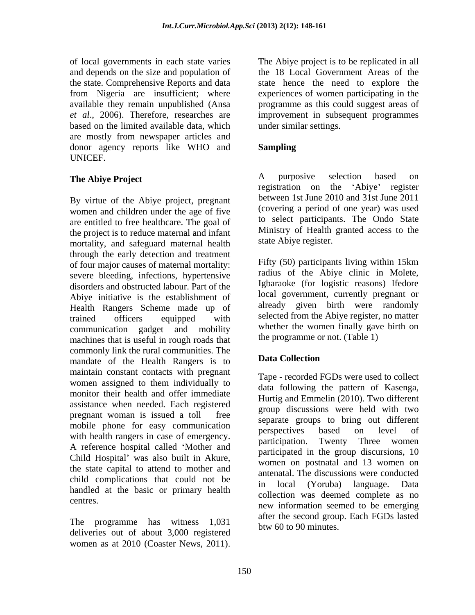of local governments in each state varies and depends on the size and population of the 18 Local Government Areas of the the state. Comprehensive Reports and data state hence the need to explore the from Nigeria are insufficient; where experiences of women participating in the available they remain unpublished (Ansa programme as this could suggest areas of *et al*., 2006). Therefore, researches are based on the limited available data, which are mostly from newspaper articles and donor agency reports like WHO and **Sampling** UNICEF.

By virtue of the Abiye project, pregnant women and children under the age of five are entitled to free healthcare. The goal of the project is to reduce maternal and infant mortality, and safeguard maternal health through the early detection and treatment of four major causes of maternal mortality: severe bleeding, infections, hypertensive disorders and obstructed labour. Part of the Abiye initiative is the establishment of Health Rangers Scheme made up of trained officers equipped with selected from the Abiye register, no matter communication gadget and mobility whether the women mailly gave birth on machines that is useful in rough roads that commonly link the rural communities. The<br>mandate of the Health Pangers is to **Data Collection** mandate of the Health Rangers is to maintain constant contacts with pregnant monitor their health and offer immediate assistance when needed. Each registered pregnant woman is issued a toll  $-$  free mobile phone for easy communication<br>perspectives based on level of with health rangers in case of emergency. A reference hospital called 'Mother and Child Hospital' was also built in Akure, the state capital to attend to mother and child complications that could not be a michaia. The discussions were conducted<br>in local (Yoruba) language. Data handled at the basic or primary health of coar governments in each state when state the replicate in all the replicated in the state. Comprehensive Report is the replication of the replication of the replication of the replication of the replication of the rep

The programme has witness 1,031 deliveries out of about 3,000 registered improvement in subsequent programmes under similar settings.

### **Sampling**

**The Abiye Project**<br> **A** purposive selection based on<br>
registration on the 'Abiye' register A purposive selection based on registration on the 'Abiye' register between 1st June 2010 and 31st June 2011 (covering a period of one year) was used to select participants. The Ondo State Ministry of Health granted access to the state Abiye register.

> Fifty (50) participants living within 15km radius of the Abiye clinic in Molete, Igbaraoke (for logistic reasons) Ifedore local government, currently pregnant or already given birth were randomly selected from the Abiye register, no matter whether the women finally gave birth on the programme or not. (Table 1)

### **Data Collection**

women assigned to them individually to  $\frac{1}{\pi}$  data following the pattern of  $K_{\text{QQO}}$ centres. new information seemed to be emerging Tape - recorded FGDs were used to collect data following the pattern of Kasenga, Hurtig and Emmelin (2010). Two different group discussions were held with two separate groups to bring out different perspectives based on level of participation. Twenty Three women participated in the group discursions, 10 women on postnatal and 13 women on antenatal. The discussions were conducted in local (Yoruba) language. Data collection was deemed complete as no after the second group. Each FGDs lasted btw 60 to 90 minutes.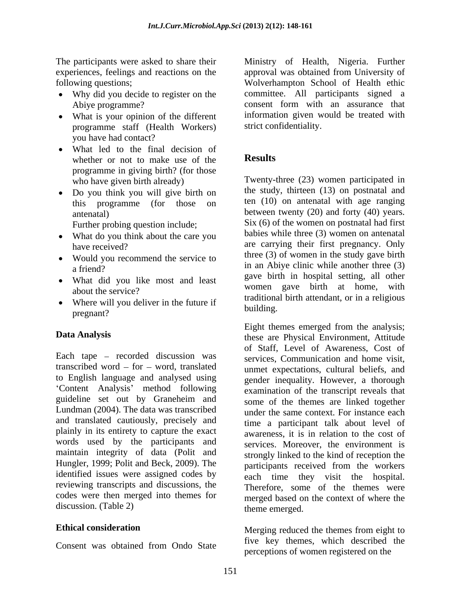- 
- What is your opinion of the different programme staff (Health Workers) you have had contact?
- What led to the final decision of<br>whether or not to make use of the **Results** whether or not to make use of the programme in giving birth? (for those
- Do you think you will give birth on this programme (for those on

Further probing question include;

- What do you think about the care you
- Would you recommend the service to
- What did you like most and least
- Where will you deliver in the future if  $\frac{1}{2}$  building. pregnant?

Each tape – recorded discussion was services, Communication and home visit, transcribed word  $-$  for  $-$  word, translated to English language and analysed using 'Content Analysis' method following<br>guideline set out by Graneheim and guideline set out by Graneheim and some of the themes are linked together Lundman (2004). The data was transcribed and translated cautiously, precisely and plainly in its entirety to capture the exact words used by the participants and maintain integrity of data (Polit and Hungler, 1999; Polit and Beck, 2009). The identified issues were assigned codes by reviewing transcripts and discussions, the codes were then merged into themes for discussion. (Table 2)

The participants were asked to share their Ministry of Health, Nigeria. Further experiences, feelings and reactions on the approval was obtained from University of following questions; Wolverhampton School of Health ethic Why did you decide to register on the committee. All participants signed a Abiye programme? consent form with an assurance that consent form with an assurance that information given would be treated with strict confidentiality.

## **Results**

who have given birth already) Twenty-three (23) women participated in antenatal) between twenty (20) and forty (40) years. have received? The area carrying their first pregnancy. Only a friend? **in an Abiye clinic while another three** (3) about the service? the study, thirteen (13) on postnatal and ten (10) on antenatal with age ranging Six (6) of the women on postnatal had first babies while three (3) women on antenatal three (3) of women in the study gave birth gave birth in hospital setting, all other women gave birth at home, with traditional birth attendant, or in a religious building. The contract of the contract of the contract of the contract of the contract of the contract of the contract of the contract of the contract of the contract of the contract of the contract of the contract of the

Data Analysis **these** are Physical Environment, Attitude Eight themes emerged from the analysis; of Staff, Level of Awareness, Cost of unmet expectations, cultural beliefs, and gender inequality. However, a thorough examination of the transcript reveals that under the same context. For instance each time a participant talk about level of awareness, it is in relation to the cost of services. Moreover, the environment is strongly linked to the kind of reception the participants received from the workers each time they visit the hospital. Therefore, some of the themes were merged based on the context of where the theme emerged.

**Ethical consideration** Merging reduced the themes from eight to Consent was obtained from Ondo State the second of the second or the five key themes, which described the perceptions of women registered on the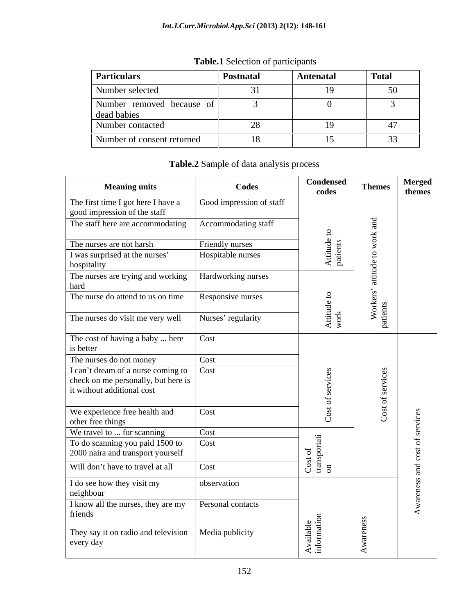| <b>Particulars</b>                       | <b>Postnatal</b> | <b>Antenatal</b> | Total |
|------------------------------------------|------------------|------------------|-------|
| Number selected                          |                  |                  | ◡◡    |
| Number removed because of<br>dead babies |                  |                  |       |
| Number contacted                         |                  |                  |       |
| Number of consent returned               | 18               | $\sim$           | JJ    |

**Table.1** Selection of participants

# **Table.2** Sample of data analysis process

| <b>Meaning units</b>                                                 | Codes                    | <b>Condensed</b><br>codes | <b>Themes</b> | Merged<br>themes |  |
|----------------------------------------------------------------------|--------------------------|---------------------------|---------------|------------------|--|
| The first time I got here I have a<br>good impression of the staff   | Good impression of staff |                           |               |                  |  |
| The staff here are accommodating   Accommodating staff               |                          |                           |               |                  |  |
| The nurses are not harsh                                             | Friendly nurses          | $\omega$ as               |               |                  |  |
| I was surprised at the nurses'<br>hospitality                        | Hospitable nurses        |                           |               |                  |  |
| The nurses are trying and working   Hardworking nurses<br>hard       |                          |                           |               |                  |  |
| The nurse do attend to us on time                                    | Responsive nurses        |                           |               |                  |  |
| The nurses do visit me very well                                     | Nurses' regularity       | $\mathbb{\times}$         |               |                  |  |
| The cost of having a baby  here Cost<br>is better                    |                          |                           |               |                  |  |
| The nurses do not money                                              | Cost                     |                           |               |                  |  |
| I can't dream of a nurse coming to Cost                              |                          |                           |               |                  |  |
| check on me personally, but here is                                  |                          |                           |               |                  |  |
| it without additional cost                                           |                          |                           |               |                  |  |
| We experience free health and                                        | Cost                     |                           |               |                  |  |
| other free things                                                    |                          |                           |               |                  |  |
| We travel to  for scanning                                           | Cost<br>$\vert$ Cost     |                           |               |                  |  |
| To do scanning you paid 1500 to<br>2000 naira and transport yourself |                          |                           |               |                  |  |
| Will don't have to travel at all                                     | Cost                     | មិ ដី ខ                   |               |                  |  |
| I do see how they visit my<br>neighbour                              | observation              |                           |               |                  |  |
| I know all the nurses, they are my Personal contacts<br>friends      |                          |                           |               |                  |  |
| They say it on radio and television   Media publicity<br>every day   |                          |                           |               |                  |  |
|                                                                      |                          |                           |               |                  |  |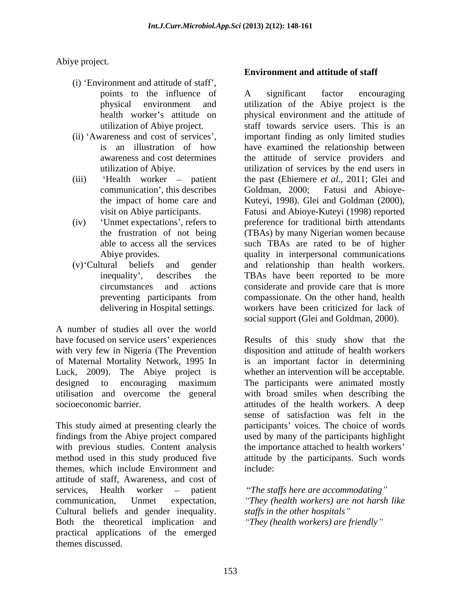Abiye project.

- (i) 'Environment and attitude of staff',
- 
- 
- 
- 

A number of studies all over the world have focused on service users' experiences with very few in Nigeria (The Prevention of Maternal Mortality Network, 1995 In Luck, 2009). The Abiye project is whether an intervention will be acceptable. designed to encouraging maximum The participants were animated mostly utilisation and overcome the general with broad smiles when describing the socioeconomic barrier. The socioeconomic barrier. The socioeconomic barrier.

This study aimed at presenting clearly the participants' voices. The choice of words findings from the Abiye project compared with previous studies. Content analysis the importance attached to health workers' method used in this study produced five attitude by the participants. Such words themes, which include Environment and attitude of staff, Awareness, and cost of services. Health worker – patient communication, Unmet expectation, *They (health workers) are not harsh like* Cultural beliefs and gender inequality. Both the theoretical implication and practical applications of the emerged themes discussed.

## **Environment and attitude of staff**

points to the influence of A significant factor encouraging physical environment and utilization of the Abiye project is the health worker's attitude on physical environment and the attitude of utilization of Abiye project. staff towards service users. This is an (ii) 'Awareness and cost of services', important finding as only limited studies is an illustration of how have examined the relationship between awareness and cost determines the attitude of service providers and utilization of Abiye. utilization of services by the end users in (iii) 'Health worker – patient the past (Ehiemere *et al.*, 2011; Glei and communication', this describes Goldman, 2000; Fatusi and Abiovethe impact of home care and Kuteyi, 1998). Glei and Goldman (2000), visit on Abiye participants. Fatusi and Abioye-Kuteyi (1998) reported (iv) Unmet expectations , refers to preference for traditional birth attendants the frustration of not being (TBAs) by many Nigerian women because able to access all the services such TBAs are rated to be of higher Abiye provides. quality in interpersonal communications (v) Cultural beliefs and gender and relationship than health workers. inequality , describes the TBAs have been reported to be more circumstances and actions considerate and provide care that is more preventing participants from compassionate. On the other hand, health delivering in Hospital settings. workers have been criticized for lack of A significant factor encouraging Goldman, 2000; Fatusi and Abioye compassionate. On the other hand, health social support (Glei and Goldman, 2000).

> Results of this study show that the disposition and attitude of health workers is an important factor in determining attitudes of the health workers. A deep sense of satisfaction was felt in the used by many of the participants highlight include: the contract of the contract of the contract of the contract of the contract of the contract of the contract of the contract of the contract of the contract of the contract of the contract of the contract of the c

*The staffs here are accommodating staf s in the other hospitals They (health workers) are friendly*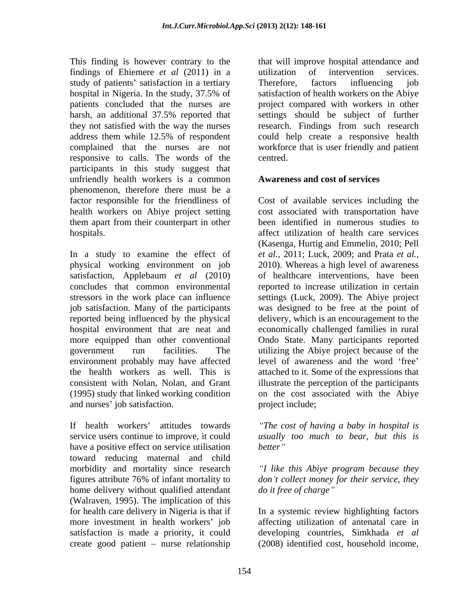findings of Ehiemere *et al* (2011) in a study of patients' satisfaction in a tertiary Therefore, factors influencing job responsive to calls. The words of the participants in this study suggest that unfriendly health workers is a common phenomenon, therefore there must be a them apart from their counterpart in other

In a study to examine the effect of *et al.,* 2011; Luck, 2009; and Prata *et al.,* physical working environment on job 2010). Whereas a high level of awareness satisfaction, Applebaum *et al* (2010) concludes that common environmental reported to increase utilization in certain stressors in the work place can influence settings (Luck, 2009). The Abiye project job satisfaction. Many of the participants was designed to be free at the point of reported being influenced by the physical hospital environment that are neat and economically challenged families in rural more equipped than other conventional Ondo State. Many participants reported government run facilities. The utilizing the Abiye project because of the environment probably may have affected the health workers as well. This is attached to it. Some of the expressions that consistent with Nolan, Nolan, and Grant illustrate the perception of the participants (1995) study that linked working condition on the cost associated with the Abiye and nurses' job satisfaction.

If health workers attitudes towards *The cost of having a baby in hospital is* service users continue to improve, it could *usually too much to bear, but this is* have a positive effect on service utilisation better" toward reducing maternal and child morbidity and mortality since research *I like this Abiye program because they* figures attribute 76% of infant mortality to don't collect money for their service, they home delivery without qualified attendant do it free of charge" (Walraven, 1995). The implication of this for health care delivery in Nigeria is that if more investment in health workers' job affecting utilization of antenatal care in satisfaction is made a priority, it could developing countries, Simkhada *et al*

This finding is however contrary to the that will improve hospital attendance and hospital in Nigeria. In the study, 37.5% of patients concluded that the nurses are project compared with workers in other harsh, an additional 37.5% reported that they not satisfied with the way the nurses research. Findings from such research address them while 12.5% of respondent could help create a responsive health complained that the nurses are not workforce that is user friendly and patient utilization of intervention services. Therefore, factors influencing job satisfaction of health workers on the Abiye settings should be subject of further centred.

### **Awareness and cost of services**

factor responsible for the friendliness of Cost of available services including the health workers on Abiye project setting cost associated with transportation have hospitals. affect utilization of health care services been identified in numerous studies to (Kasenga, Hurtig and Emmelin, 2010; Pell of healthcare interventions, have been delivery, which is an encouragement to the level of awareness and the word 'free' project include;

*better*

*don t collect money for their service, they do it free of charge*

create good patient – nurse relationship (2008) identified cost, household income, In a systemic review highlighting factors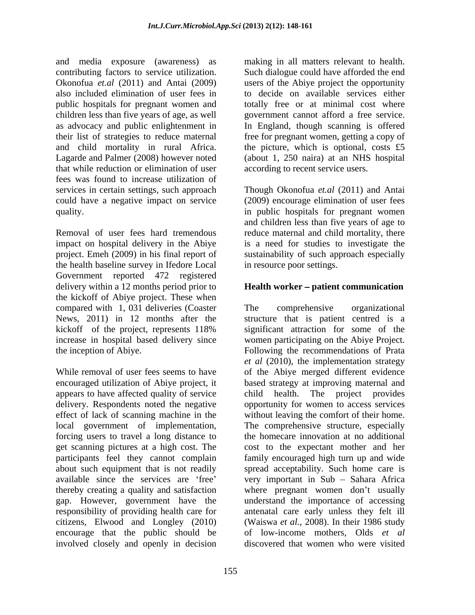and media exposure (awareness) as making in all matters relevant to health. contributing factors to service utilization. Such dialogue could have afforded the end Okonofua *et.al* (2011) and Antai (2009) users of the Abiye project the opportunity also included elimination of user fees in to decide on available services either public hospitals for pregnant women and children less than five years of age, as well government cannot afford a free service. as advocacy and public enlightenment in In England, though scanning is offered their list of strategies to reduce maternal free for pregnant women, getting a copy of and child mortality in rural Africa. the picture, which is optional, costs £5 Lagarde and Palmer (2008) however noted (about 1, 250 naira) at an NHS hospital that while reduction or elimination of user fees was found to increase utilization of services in certain settings, such approach Though Okonofua *et.al* (2011) and Antai could have a negative impact on service quality. in public hospitals for pregnant women

Removal of user fees hard tremendous reduce maternal and child mortality, there impact on hospital delivery in the Abiye project. Emeh (2009) in his final report of sustainability of such approach especially the health baseline survey in Ifedore Local Government reported 472 registered delivery within a 12 months period prior to **Health worker – patient communication** the kickoff of Abiye project. These when compared with 1, 031 deliveries (Coaster

appears to have affected quality of service get scanning pictures at a high cost. The encourage that the public should be involved closely and openly in decision

totally free or at minimal cost where according to recent service users.

(2009) encourage elimination of user fees and children less than five years of age to is a need for studies to investigate the in resource poor settings.

News, 2011) in 12 months after the structure that is patient centred is a kickoff of the project, represents 118% increase in hospital based delivery since women participating on the Abiye Project. the inception of Abiye. Following the recommendations of Prata While removal of user fees seems to have of the Abiye merged different evidence encouraged utilization of Abiye project, it based strategy at improving maternal and delivery. Respondents noted the negative opportunity for women to access services effect of lack of scanning machine in the without leaving the comfort of their home. local government of implementation, The comprehensive structure, especially forcing users to travel a long distance to the homecare innovation at no additional participants feel they cannot complain family encouraged high turn up and wide about such equipment that is not readily spread acceptability. Such home care is available since the services are 'free' very important in Sub – Sahara Africa thereby creating a quality and satisfaction where pregnant women don't usually gap. However, government have the understand the importance of accessing responsibility of providing health care for antenatal care early unless they felt ill citizens, Elwood and Longley (2010) (Waiswa *et al.,* 2008). In their 1986 study The comprehensive organizational significant attraction for some of the *et al* (2010), the implementation strategy The project provides cost to the expectant mother and her of low-income mothers, Olds *et al* discovered that women who were visited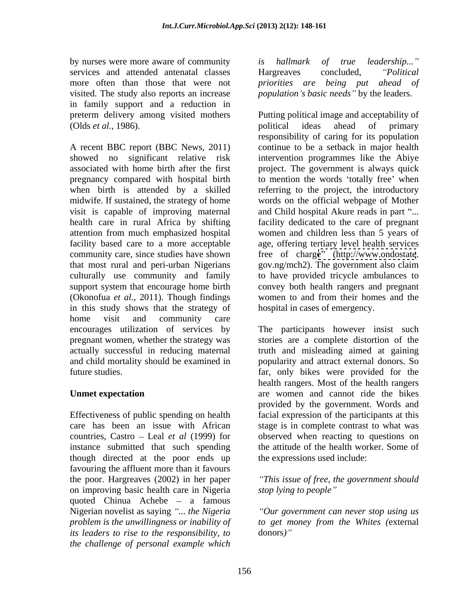services and attended antenatal classes **Example 2** Hargreaves concluded, "Political" visited. The study also reports an increase *population's basic needs* by the leaders. in family support and a reduction in (Olds *et al.*, 1986). political ideas ahead of primary

A recent BBC report (BBC News, 2011) showed no significant relative risk intervention programmes like the Abiye associated with home birth after the first project. The government is always quick pregnancy compared with hospital birth to mention the words 'totally free' when when birth is attended by a skilled referring to the project, the introductory midwife. If sustained, the strategy of home words on the official webpage of Mother visit is capable of improving maternal health care in rural Africa by shifting facility dedicated to the care of pregnant attention from much emphasized hospital women and children less than 5 years of facility based care to a more acceptable age, offering tertiary level health services community care, since studies have shown free of charge" [\(http://www.ondostate](http://www.ondostate). that most rural and peri-urban Nigerians gov.ng/mch2). The government also claim culturally use community and family to have provided tricycle ambulances to support system that encourage home birth convey both health rangers and pregnant (Okonofua *et al.,* 2011). Though findings in this study shows that the strategy of home visit and community care encourages utilization of services by The participants however insist such pregnant women, whether the strategy was stories are a complete distortion of the actually successful in reducing maternal truth and misleading aimed at gaining and child mortality should be examined in popularity and attract external donors. So

instance submitted that such spending though directed at the poor ends up favouring the affluent more than it favours the poor. Hargreaves (2002) in her paper on improving basic health care in Nigeria *stop lying to people*" quoted Chinua Achebe  $-$  a famous Nigerian novelist as saying *... the Nigeria problem is the unwillingness or inability of its leaders to rise to the responsibility, to the challenge of personal example which*

by nurses were more aware of community is hallmark of true leadership..." more often than those that were not *priorities are being put ahead of is hallmark of true leadership...* Hargreaves concluded, *Political*

preterm delivery among visited mothers Putting political image and acceptability of political ideas ahead of primary responsibility of caring for its population continue to be a setback in major health and Child hospital Akure reads in part "... women to and from their homes and the hospital in cases of emergency.

future studies. far, only bikes were provided for the Unmet expectation **area** women and cannot ride the bikes Effectiveness of public spending on health facial expression of the participants at this care has been an issue with African stage is in complete contrast to what was countries, Castro – Leal *et al* (1999) for beddiese observed when reacting to questions on health rangers. Most of the health rangers provided by the government. Words and the attitude of the health worker. Some of the expressions used include:

> *This issue of free, the government should stop lying to people*

*Our government can never stop using us to get money from the Whites (*external donors*)*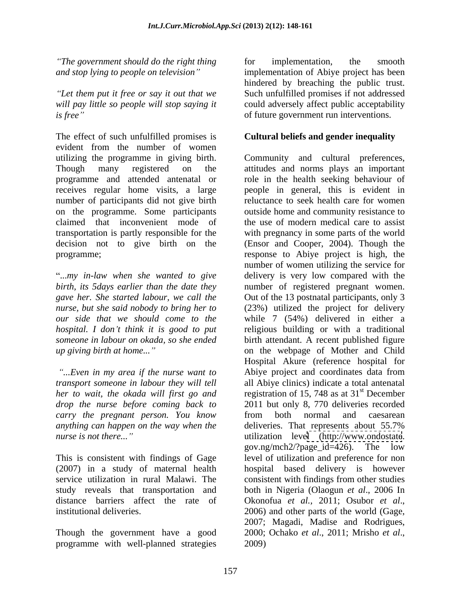*The government should do the right thing* for implementation, the smooth and stop lying to people on television" implementation of Abiye project has been

The effect of such unfulfilled promises is **Cultural beliefs and gender inequality** evident from the number of women programme and attended antenatal or number of participants did not give birth

*...Even in my area if the nurse want to drop the nurse before coming back to carry the pregnant person. You know anything can happen on the way when the*

This is consistent with findings of Gage distance barriers affect the rate of Okonofua et al., 2011; Osubor et al., institutional deliveries. 2006) and other parts of the world (Gage,

Though the government have a good 2000; Ochako et al., 2011; Mrisho et al., programme with well-planned strategies

*and stop lying to people on television* implementation of Abiye project has been *Let them put it free or say it out that we*  Such unfulfilled promises if not addressed *will pay little so people will stop saying it* could adversely affect public acceptability *is free*" of future government run interventions. for implementation, the smooth hindered by breaching the public trust.

utilizing the programme in giving birth. Community and cultural preferences, Though many registered on the attitudes and norms plays an important receives regular home visits, a large people in general, this is evident in on the programme. Some participants outside home and community resistance to claimed that inconvenient mode of the use of modern medical care to assist transportation is partly responsible for the with pregnancy in some parts of the world decision not to give birth on the (Ensor and Cooper, 2004). Though the programme; response to Abiye project is high, the ...*my in-law when she wanted to give* delivery is very low compared with the *birth, its 5days earlier than the date they* number of registered pregnant women. *gave her. She started labour, we call the* Out of the 13 postnatal participants, only 3 *nurse, but she said nobody to bring her to* (23%) utilized the project for delivery *our side that we should come to the* while 7 (54%) delivered in either a *hospital. I don t think it is good to put* religious building or with a traditional *someone in labour on okada, so she ended* birth attendant. A recent published figure *up giving birth at home...* on the webpage of Mother and Child *transport someone in labour they will tell* all Abiye clinics) indicate a total antenatal *her to wait, the okada will first go and* registration of 15, 748 as at 31 *nurse is not there...*" The *nurse* is *not there...*" and **utilization** level [\(http://www.ondostate](http://www.ondostate). (2007) in a study of maternal health hospital based delivery is however service utilization in rural Malawi. The consistent with findings from other studies study reveals that transportation and both in Nigeria (Olaogun *et al*., 2006 In role in the health seeking behaviour of reluctance to seek health care for women number of women utilizing the service for Hospital Akure (reference hospital for Abiye project and coordinates data from st December 2011 but only 8, 770 deliveries recorded from both normal and caesarean deliveries. That represents about 55.7% gov.ng/mch2/?page\_id=426). The low level of utilization and preference for non Okonofua *et al.,* 2011; Osubor *et al*., 2006) and other parts of the world (Gage, 2007; Magadi, Madise and Rodrigues, 2000; Ochako *et al*., 2011; Mrisho *et al*., 2009)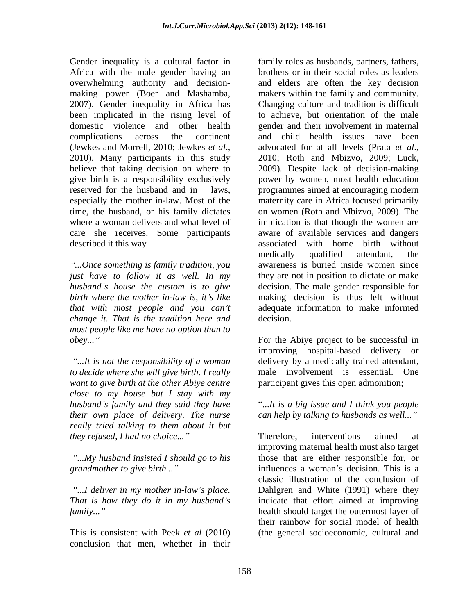overwhelming authority and decision been implicated in the rising level of described it this way associated with home birth without

*...Once something is family tradition, you change it. That is the tradition here and most people like me have no option than to* 

*want to give birth at the other Abiye centre close to my house but I stay with my husband s family and they said they have* ...*It is a big issue and I think you people their own place of delivery. The nurse really tried talking to them about it but they refused, I had no choice...*" Therefore, interventions aimed at

conclusion that men, whether in their

Gender inequality is a cultural factor in family roles as husbands, partners, fathers, Africa with the male gender having an brothers or in their social roles as leaders making power (Boer and Mashamba, makers within the family and community. 2007). Gender inequality in Africa has Changing culture and tradition is difficult domestic violence and other health gender and their involvement in maternal complications across the continent and child health issues have been (Jewkes and Morrell, 2010; Jewkes *et al.*, advocated for at all levels (Prata *et al.*, 2010). Many participants in this study 2010; Roth and Mbizvo, 2009; Luck, believe that taking decision on where to 2009). Despite lack of decision-making give birth is a responsibility exclusively power by women, most health education reserved for the husband and in – laws, programmes aimed at encouraging modern especially the mother in-law. Most of the maternity care in Africa focused primarily time, the husband, or his family dictates on women (Roth and Mbizvo, 2009). The where a woman delivers and what level of implication is that though the women are care she receives. Some participants aware of available services and dangers *just have to follow it as well. In my* they are not in position to dictate or make *husband s house the custom is to give* decision. The male gender responsible for *birth where the mother in-law is, it s like* making decision is thus left without *that with most people and you can t* adequate information to make informed and elders are often the key decision to achieve, but orientation of the male advocated for at all levels (Prata *et al*., 2010; Roth and Mbizvo, 2009; Luck, associated with home birth without medically qualified attendant, the awareness is buried inside women since decision.

*obey...*" For the Abiye project to be successful in *...It is not the responsibility of a woman*  delivery by a medically trained attendant, *to decide where she will give birth. I really*  male involvement is essential. One improving hospital-based delivery or participant gives this open admonition;

*can help by talking to husbands as well...*

*...My husband insisted I should go to his* those that are either responsible for, or *grandmother to give birth...*" influences a woman's decision. This is a *...I deliver in my mother in-law s place.* Dahlgren and White (1991) where they *That is how they do it in my husband s* indicate that effort aimed at improving *family...*" health should target the outermost layer of This is consistent with Peek *et al* (2010) (the general socioeconomic, cultural andTherefore, interventions aimed at improving maternal health must also target classic illustration of the conclusion of their rainbow for social model of health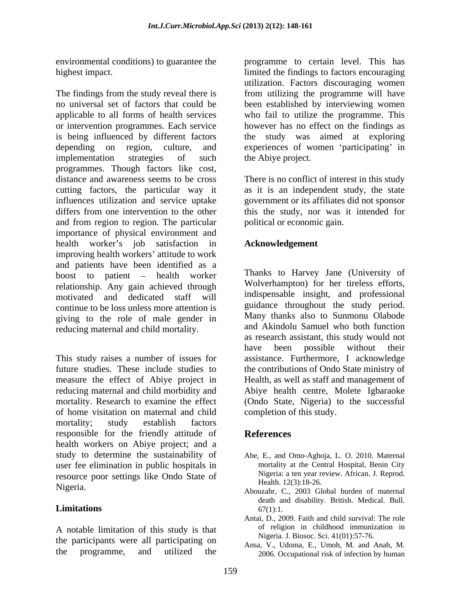The findings from the study reveal there is from utilizing the programme will have no universal set of factors that could be been established by interviewing women applicable to all forms of health services who fail to utilize the programme. This or intervention programmes. Each service however has no effect on the findings as is being influenced by different factors depending on region, culture, and experiences of women 'participating' in implementation strategies of such the Abiye project. programmes. Though factors like cost, distance and awareness seems to be cross There is no conflict of interest in this study cutting factors, the particular way it as it is an independent study, the state influences utilization and service uptake differs from one intervention to the other this the study, nor was it intended for and from region to region. The particular importance of physical environment and health worker's job satisfaction in improving health workers' attitude to work and patients have been identified as a boost to patient – health worker relationship. Any gain achieved through motivated and dedicated staff will continue to be loss unless more attention is giving to the role of male gender in reducing maternal and child mortality.

This study raises a number of issues for assistance. Furthermore, I acknowledge future studies. These include studies to the contributions of Ondo State ministry of measure the effect of Abiye project in Health, as well as staff and management of reducing maternal and child morbidity and Abiye health centre, Molete Igbaraoke mortality. Research to examine the effect (Ondo State, Nigeria) to the successful of home visitation on maternal and child mortality; study establish factors responsible for the friendly attitude of **References** health workers on Abiye project; and a study to determine the sustainability of user fee elimination in public hospitals in resource poor settings like Ondo State of Nigeria.<br>
Abouzahr, C., 2003 Global burden of maternal

A notable limitation of this study is that the participants were all participating on

environmental conditions) to guarantee the programme to certain level. This has highest impact. limited the findings to factors encouraging utilization. Factors discouraging women the study was aimed at exploring the Abiye project.

> government or its affiliates did not sponsor political or economic gain.

### **Acknowledgement**

Thanks to Harvey Jane (University of Wolverhampton) for her tireless efforts, indispensable insight, and professional guidance throughout the study period. Many thanks also to Sunmonu Olabode and Akindolu Samuel who both function as research assistant, this study would not have been possible without their completion of this study.

### **References**

- Abe, E., and Omo-Aghoja, L. O. 2010. Maternal mortality at the Central Hospital, Benin City Nigeria: a ten year review. African. J. Reprod. Health. 12(3):18-26.
- **Limitations** 67(1):1. death and disability. British. Medical. Bull*.*  $67(1)$ :1.
	- Antai, D., 2009. Faith and child survival: The role of religion in childhood immunization in Nigeria. J. Biosoc. Sci. 41(01):57-76.
- the programme, and utilized the 2006. Occupational risk of infection by human Ansa, V., Udoma, E., Umoh, M. and Anah, M.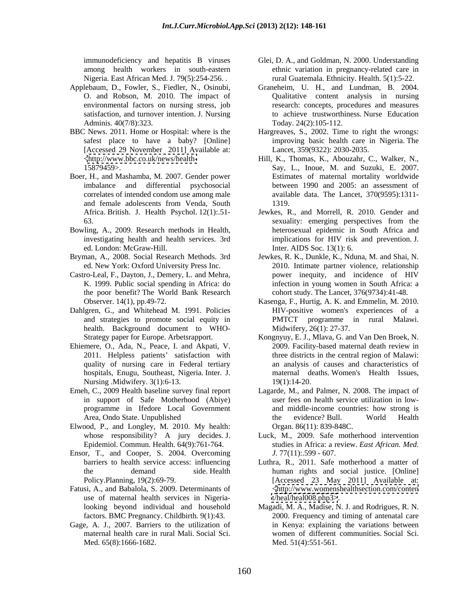among health workers in south-eastern

- Applebaum, D., Fowler, S., Fiedler, N., Osinubi,
- [Accessed 29 November 2011] Available at: http://www.bbc.co.uk/news/health-<br>Hill, K., Thomas, K., Abouzahr, C., Walker, N.,
- correlates of intended condom use among male
- Bowling, A., 2009. Research methods in Health, ed. London: McGraw-Hill.
- 
- Castro-Leal, F., Dayton, J., Demery, L. and Mehra, the poor benefit? The World Bank Research
- Dahlgren, G., and Whitehead M. 1991. Policies health. Background document to WHO-<br>Strategy paper for Europe. Arbetsrapport.
- Ehiemere, O., Ada, N., Peace, I. and Akpati, V. 2011. Helpless patients' satisfaction with quality of nursing care in Federal tertiary Nursing .Midwifery. 3(1):6-13. 19(1):14-20.
- 
- Elwood, P., and Longley, M. 2010. My health:
- Ensor, T., and Cooper, S. 2004. Overcoming
- Fatusi, A., and Babalola, S. 2009. Determinants of use of maternal health services in Nigeria-
- Gage, A. J., 2007. Barriers to the utilization of maternal health care in rural Mali. Social Sci. Med. 65(8):1666-1682.
- immunodeficiency and hepatitis B viruses Glei, D. A., and Goldman, N. 2000. Understanding Nigeria. East African Med. J. 79(5):254-256. . rural Guatemala. Ethnicity. Health. 5(1):5-22. ethnic variation in pregnancy-related care in
- O. and Robson, M. 2010. The impact of Qualitative content analysis in nursing environmental factors on nursing stress, job research: concepts, procedures and measures satisfaction, and turnover intention. J. Nursing to achieve trustworthiness. Nurse Education Adminis. 40(7/8):323. Today. 24(2):105-112. Graneheim, U. H., and Lundman, B. 2004.
- BBC News. 2011. Home or Hospital: where is the Hargreaves, S., 2002. Time to right the wrongs: safest place to have a baby? [Online] improving basic health care in Nigeria. The Lancet, 359(9322): 2030-2035.
- 15879459>. Say, L., Inoue, M. and Suzuki, E. 2007. Boer, H., and Mashamba, M. 2007. Gender power Estimates of maternal mortality worldwide imbalance and differential psychosocial between 1990 and 2005: an assessment of and female adolescents from Venda, South Hill, K., Thomas, K.,Abouzahr, C., Walker, N., Say, L., Inoue, M. and Suzuki, E. 2007. available data. The Lancet, 370(9595):1311- 1319.
	- Africa. British. J. Health Psychol. 12(1):.51- Jewkes, R., and Morrell, R. 2010. Gender and 63. Sexuality: emerging perspectives from the investigating health and health services. 3rd implications for HIV risk and prevention. J. sexuality: emerging perspectives from the heterosexual epidemic in South Africa and Inter. AIDS Soc*.* 13(1): 6.
- Bryman, A., 2008. Social Research Methods. 3rd Jewkes, R. K., Dunkle, K., Nduna, M. and Shai, N. ed. New York: Oxford University Press Inc. 2010. Intimate partner violence, relationship K. 1999. Public social spending in Africa: do infection in young women in South Africa: a power inequity, and incidence of HIV cohort study. The Lancet, 376(9734):41-48.
	- Observer. 14(1), pp.49-72. Kasenga, F., Hurtig, A. K. and Emmelin, M. 2010. and strategies to promote social equity in PMTCT programme in rural Malawi. HIV-positive women's experiences of a Midwifery, 26(1): 27-37.
	- Strategy paper for Europe. Arbetsrapport. Kongnyuy, E. J., Mlava, G. and Van Den Broek, N. quality of nursing care in Federal tertiary an analysis of causes and characteristics of hospitals, Enugu, Southeast, Nigeria. Inter. J. 2009. Facility-based maternal death review in three districts in the central region of Malawi: maternal deaths. Women's Health Issues, 19(1):14-20.
- Emeh, C., 2009 Health baseline survey final report Lagarde, M., and Palmer, N. 2008. The impact of in support of Safe Motherhood (Abiye) user fees on health service utilization in low programme in Ifedore Local Government and middle-income countries: how strong is Area, Ondo State. Unpublished the evidence? Bull. World Health the evidence? Bull. World Health Organ. 86(11): 839-848C.
	- whose responsibility? A jury decides. J. Luck, M., 2009. Safe motherhood intervention Epidemiol. Commun. Health. 64(9):761-764. studies in Africa: a review. *East African. Med. J.* 77(11):.599 - 607.
	- barriers to health service access: influencing Luthra, R., 2011. Safe motherhood a matter of the demand side. Health human rights and social justice. [Online] Policy.Planning, 19(2):69-79. [Accessed 23 May 2011] Available at: [<http://www.womenshealthsection.com/conten](http://www.womenshealthsection.com/conten) <t/heal/heal008.php3>>.
	- looking beyond individual and household Magadi, M. A., Madise, N. J. and Rodrigues, R. N. factors. BMC Pregnancy. Childbirth*.* 9(1):43. 2000. Frequency and timing of antenatal care in Kenya: explaining the variations between women of different communities. Social Sci. Med. 51(4):551-561.